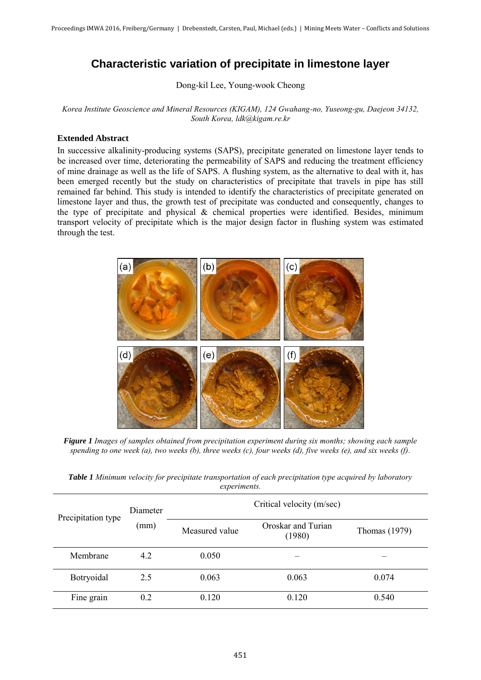## **Characteristic variation of precipitate in limestone layer**

Dong-kil Lee, Young-wook Cheong

*Korea Institute Geoscience and Mineral Resources (KIGAM), 124 Gwahang-no, Yuseong-gu, Daejeon 34132, South Korea, ldk@kigam.re.kr*

## **Extended Abstract**

In successive alkalinity-producing systems (SAPS), precipitate generated on limestone layer tends to be increased over time, deteriorating the permeability of SAPS and reducing the treatment efficiency of mine drainage as well as the life of SAPS. A flushing system, as the alternative to deal with it, has been emerged recently but the study on characteristics of precipitate that travels in pipe has still remained far behind. This study is intended to identify the characteristics of precipitate generated on limestone layer and thus, the growth test of precipitate was conducted and consequently, changes to the type of precipitate and physical & chemical properties were identified. Besides, minimum transport velocity of precipitate which is the major design factor in flushing system was estimated through the test.



*Figure 1 Images of samples obtained from precipitation experiment during six months; showing each sample spending to one week (a), two weeks (b), three weeks (c), four weeks (d), five weeks (e), and six weeks (f).* 

| Precipitation type | <b>Diameter</b><br>(mm) | Critical velocity (m/sec) |                              |               |
|--------------------|-------------------------|---------------------------|------------------------------|---------------|
|                    |                         | Measured value            | Oroskar and Turian<br>(1980) | Thomas (1979) |
| Membrane           | 4.2                     | 0.050                     |                              |               |
| Botryoidal         | 2.5                     | 0.063                     | 0.063                        | 0.074         |
| Fine grain         | 0.2                     | 0.120                     | 0.120                        | 0.540         |

*Table 1 Minimum velocity for precipitate transportation of each precipitation type acquired by laboratory experiments.*